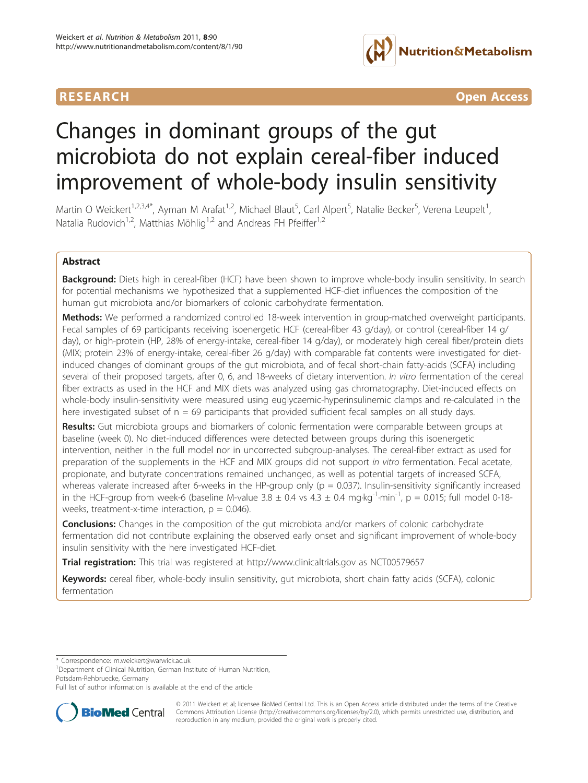

**RESEARCH CONTROL** CONTROL CONTROL CONTROL CONTROL CONTROL CONTROL CONTROL CONTROL CONTROL CONTROL CONTROL CONTROL CONTROL CONTROL CONTROL CONTROL CONTROL CONTROL CONTROL CONTROL CONTROL CONTROL CONTROL CONTROL CONTROL CON

# Changes in dominant groups of the gut microbiota do not explain cereal-fiber induced improvement of whole-body insulin sensitivity

Martin O Weickert<sup>1,2,3,4\*</sup>, Ayman M Arafat<sup>1,2</sup>, Michael Blaut<sup>5</sup>, Carl Alpert<sup>5</sup>, Natalie Becker<sup>5</sup>, Verena Leupelt<sup>1</sup> , Natalia Rudovich<sup>1,2</sup>, Matthias Möhlig<sup>1,2</sup> and Andreas FH Pfeiffer<sup>1,2</sup>

# Abstract

Background: Diets high in cereal-fiber (HCF) have been shown to improve whole-body insulin sensitivity. In search for potential mechanisms we hypothesized that a supplemented HCF-diet influences the composition of the human gut microbiota and/or biomarkers of colonic carbohydrate fermentation.

Methods: We performed a randomized controlled 18-week intervention in group-matched overweight participants. Fecal samples of 69 participants receiving isoenergetic HCF (cereal-fiber 43 g/day), or control (cereal-fiber 14 g/ day), or high-protein (HP, 28% of energy-intake, cereal-fiber 14 g/day), or moderately high cereal fiber/protein diets (MIX; protein 23% of energy-intake, cereal-fiber 26 g/day) with comparable fat contents were investigated for dietinduced changes of dominant groups of the gut microbiota, and of fecal short-chain fatty-acids (SCFA) including several of their proposed targets, after 0, 6, and 18-weeks of dietary intervention. In vitro fermentation of the cereal fiber extracts as used in the HCF and MIX diets was analyzed using gas chromatography. Diet-induced effects on whole-body insulin-sensitivity were measured using euglycaemic-hyperinsulinemic clamps and re-calculated in the here investigated subset of  $n = 69$  participants that provided sufficient fecal samples on all study days.

Results: Gut microbiota groups and biomarkers of colonic fermentation were comparable between groups at baseline (week 0). No diet-induced differences were detected between groups during this isoenergetic intervention, neither in the full model nor in uncorrected subgroup-analyses. The cereal-fiber extract as used for preparation of the supplements in the HCF and MIX groups did not support in vitro fermentation. Fecal acetate, propionate, and butyrate concentrations remained unchanged, as well as potential targets of increased SCFA, whereas valerate increased after 6-weeks in the HP-group only ( $p = 0.037$ ). Insulin-sensitivity significantly increased in the HCF-group from week-6 (baseline M-value  $3.8 \pm 0.4$  vs  $4.3 \pm 0.4$  mg·kg<sup>-1</sup>·min<sup>-1</sup>, p = 0.015; full model 0-18weeks, treatment-x-time interaction,  $p = 0.046$ ).

**Conclusions:** Changes in the composition of the gut microbiota and/or markers of colonic carbohydrate fermentation did not contribute explaining the observed early onset and significant improvement of whole-body insulin sensitivity with the here investigated HCF-diet.

**Trial registration:** This trial was registered at<http://www.clinicaltrials.gov> as [NCT00579657](http://www.clinicaltrials.gov/ct2/show/NCT00579657)

Keywords: cereal fiber, whole-body insulin sensitivity, gut microbiota, short chain fatty acids (SCFA), colonic fermentation

\* Correspondence: [m.weickert@warwick.ac.uk](mailto:m.weickert@warwick.ac.uk)

<sup>1</sup>Department of Clinical Nutrition, German Institute of Human Nutrition, Potsdam-Rehbruecke, Germany

Full list of author information is available at the end of the article



© 2011 Weickert et al; licensee BioMed Central Ltd. This is an Open Access article distributed under the terms of the Creative Commons Attribution License [\(http://creativecommons.org/licenses/by/2.0](http://creativecommons.org/licenses/by/2.0)), which permits unrestricted use, distribution, and reproduction in any medium, provided the original work is properly cited.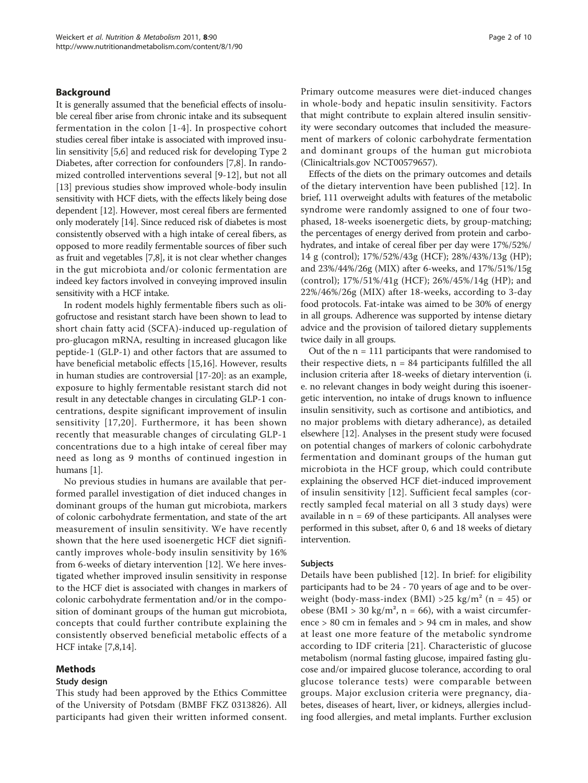# Background

It is generally assumed that the beneficial effects of insoluble cereal fiber arise from chronic intake and its subsequent fermentation in the colon [[1-4\]](#page-8-0). In prospective cohort studies cereal fiber intake is associated with improved insulin sensitivity [\[5,6](#page-8-0)] and reduced risk for developing Type 2 Diabetes, after correction for confounders [\[7,8](#page-8-0)]. In randomized controlled interventions several [[9-12](#page-8-0)], but not all [[13\]](#page-8-0) previous studies show improved whole-body insulin sensitivity with HCF diets, with the effects likely being dose dependent [\[12\]](#page-8-0). However, most cereal fibers are fermented only moderately [[14](#page-8-0)]. Since reduced risk of diabetes is most consistently observed with a high intake of cereal fibers, as opposed to more readily fermentable sources of fiber such as fruit and vegetables [\[7,8\]](#page-8-0), it is not clear whether changes in the gut microbiota and/or colonic fermentation are indeed key factors involved in conveying improved insulin sensitivity with a HCF intake.

In rodent models highly fermentable fibers such as oligofructose and resistant starch have been shown to lead to short chain fatty acid (SCFA)-induced up-regulation of pro-glucagon mRNA, resulting in increased glucagon like peptide-1 (GLP-1) and other factors that are assumed to have beneficial metabolic effects [\[15,16\]](#page-8-0). However, results in human studies are controversial [\[17-20\]](#page-8-0): as an example, exposure to highly fermentable resistant starch did not result in any detectable changes in circulating GLP-1 concentrations, despite significant improvement of insulin sensitivity [[17,20\]](#page-8-0). Furthermore, it has been shown recently that measurable changes of circulating GLP-1 concentrations due to a high intake of cereal fiber may need as long as 9 months of continued ingestion in humans [\[1\]](#page-8-0).

No previous studies in humans are available that performed parallel investigation of diet induced changes in dominant groups of the human gut microbiota, markers of colonic carbohydrate fermentation, and state of the art measurement of insulin sensitivity. We have recently shown that the here used isoenergetic HCF diet significantly improves whole-body insulin sensitivity by 16% from 6-weeks of dietary intervention [\[12\]](#page-8-0). We here investigated whether improved insulin sensitivity in response to the HCF diet is associated with changes in markers of colonic carbohydrate fermentation and/or in the composition of dominant groups of the human gut microbiota, concepts that could further contribute explaining the consistently observed beneficial metabolic effects of a HCF intake [\[7,8,14](#page-8-0)].

# Methods

# Study design

This study had been approved by the Ethics Committee of the University of Potsdam (BMBF FKZ 0313826). All participants had given their written informed consent. Primary outcome measures were diet-induced changes in whole-body and hepatic insulin sensitivity. Factors that might contribute to explain altered insulin sensitivity were secondary outcomes that included the measurement of markers of colonic carbohydrate fermentation and dominant groups of the human gut microbiota (Clinicaltrials.gov NCT00579657).

Effects of the diets on the primary outcomes and details of the dietary intervention have been published [[12](#page-8-0)]. In brief, 111 overweight adults with features of the metabolic syndrome were randomly assigned to one of four twophased, 18-weeks isoenergetic diets, by group-matching; the percentages of energy derived from protein and carbohydrates, and intake of cereal fiber per day were 17%/52%/ 14 g (control); 17%/52%/43g (HCF); 28%/43%/13g (HP); and 23%/44%/26g (MIX) after 6-weeks, and 17%/51%/15g (control); 17%/51%/41g (HCF); 26%/45%/14g (HP); and 22%/46%/26g (MIX) after 18-weeks, according to 3-day food protocols. Fat-intake was aimed to be 30% of energy in all groups. Adherence was supported by intense dietary advice and the provision of tailored dietary supplements twice daily in all groups.

Out of the  $n = 111$  participants that were randomised to their respective diets,  $n = 84$  participants fulfilled the all inclusion criteria after 18-weeks of dietary intervention (i. e. no relevant changes in body weight during this isoenergetic intervention, no intake of drugs known to influence insulin sensitivity, such as cortisone and antibiotics, and no major problems with dietary adherance), as detailed elsewhere [\[12\]](#page-8-0). Analyses in the present study were focused on potential changes of markers of colonic carbohydrate fermentation and dominant groups of the human gut microbiota in the HCF group, which could contribute explaining the observed HCF diet-induced improvement of insulin sensitivity [[12\]](#page-8-0). Sufficient fecal samples (correctly sampled fecal material on all 3 study days) were available in  $n = 69$  of these participants. All analyses were performed in this subset, after 0, 6 and 18 weeks of dietary intervention.

#### Subjects

Details have been published [\[12](#page-8-0)]. In brief: for eligibility participants had to be 24 - 70 years of age and to be overweight (body-mass-index (BMI) > 25 kg/m<sup>2</sup> (n = 45) or obese (BMI > 30 kg/m<sup>2</sup>, n = 66), with a waist circumference > 80 cm in females and > 94 cm in males, and show at least one more feature of the metabolic syndrome according to IDF criteria [[21\]](#page-8-0). Characteristic of glucose metabolism (normal fasting glucose, impaired fasting glucose and/or impaired glucose tolerance, according to oral glucose tolerance tests) were comparable between groups. Major exclusion criteria were pregnancy, diabetes, diseases of heart, liver, or kidneys, allergies including food allergies, and metal implants. Further exclusion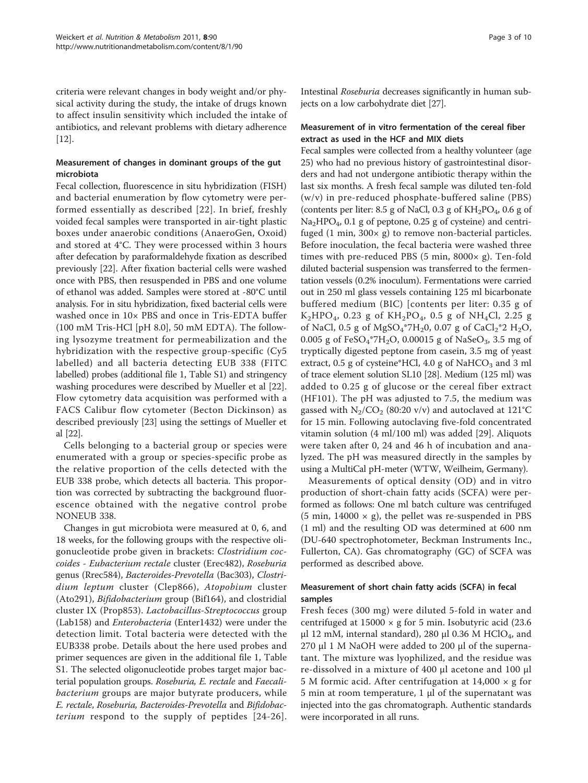criteria were relevant changes in body weight and/or physical activity during the study, the intake of drugs known to affect insulin sensitivity which included the intake of antibiotics, and relevant problems with dietary adherence [[12\]](#page-8-0).

# Measurement of changes in dominant groups of the gut microbiota

Fecal collection, fluorescence in situ hybridization (FISH) and bacterial enumeration by flow cytometry were performed essentially as described [[22\]](#page-8-0). In brief, freshly voided fecal samples were transported in air-tight plastic boxes under anaerobic conditions (AnaeroGen, Oxoid) and stored at 4°C. They were processed within 3 hours after defecation by paraformaldehyde fixation as described previously [\[22](#page-8-0)]. After fixation bacterial cells were washed once with PBS, then resuspended in PBS and one volume of ethanol was added. Samples were stored at -80°C until analysis. For in situ hybridization, fixed bacterial cells were washed once in 10× PBS and once in Tris-EDTA buffer (100 mM Tris-HCl [pH 8.0], 50 mM EDTA). The following lysozyme treatment for permeabilization and the hybridization with the respective group-specific (Cy5 labelled) and all bacteria detecting EUB 338 (FITC labelled) probes (additional file [1,](#page-7-0) Table S1) and stringency washing procedures were described by Mueller et al [\[22](#page-8-0)]. Flow cytometry data acquisition was performed with a FACS Calibur flow cytometer (Becton Dickinson) as described previously [\[23](#page-8-0)] using the settings of Mueller et al [\[22\]](#page-8-0).

Cells belonging to a bacterial group or species were enumerated with a group or species-specific probe as the relative proportion of the cells detected with the EUB 338 probe, which detects all bacteria. This proportion was corrected by subtracting the background fluorescence obtained with the negative control probe NONEUB 338.

Changes in gut microbiota were measured at 0, 6, and 18 weeks, for the following groups with the respective oligonucleotide probe given in brackets: Clostridium coccoides - Eubacterium rectale cluster (Erec482), Roseburia genus (Rrec584), Bacteroides-Prevotella (Bac303), Clostridium leptum cluster (Clep866), Atopobium cluster (Ato291), Bifidobacterium group (Bif164), and clostridial cluster IX (Prop853). Lactobacillus-Streptococcus group (Lab158) and Enterobacteria (Enter1432) were under the detection limit. Total bacteria were detected with the EUB338 probe. Details about the here used probes and primer sequences are given in the additional file [1](#page-7-0), Table S1. The selected oligonucleotide probes target major bacterial population groups. Roseburia, E. rectale and Faecalibacterium groups are major butyrate producers, while E. rectale, Roseburia, Bacteroides-Prevotella and Bifidobacterium respond to the supply of peptides [[24](#page-8-0)-[26\]](#page-8-0). Intestinal Roseburia decreases significantly in human subjects on a low carbohydrate diet [\[27\]](#page-8-0).

# Measurement of in vitro fermentation of the cereal fiber extract as used in the HCF and MIX diets

Fecal samples were collected from a healthy volunteer (age 25) who had no previous history of gastrointestinal disorders and had not undergone antibiotic therapy within the last six months. A fresh fecal sample was diluted ten-fold (w/v) in pre-reduced phosphate-buffered saline (PBS) (contents per liter: 8.5 g of NaCl, 0.3 g of  $KH_2PO_4$ , 0.6 g of Na<sub>2</sub>HPO<sub>4</sub>, 0.1 g of peptone, 0.25 g of cysteine) and centrifuged  $(1 \text{ min}, 300 \times g)$  to remove non-bacterial particles. Before inoculation, the fecal bacteria were washed three times with pre-reduced PBS  $(5 \text{ min}, 8000 \times g)$ . Ten-fold diluted bacterial suspension was transferred to the fermentation vessels (0.2% inoculum). Fermentations were carried out in 250 ml glass vessels containing 125 ml bicarbonate buffered medium (BIC) [contents per liter: 0.35 g of  $K_2HPO_4$ , 0.23 g of  $KH_2PO_4$ , 0.5 g of NH<sub>4</sub>Cl, 2.25 g of NaCl, 0.5 g of MgSO<sub>4</sub>\*7H<sub>2</sub>0, 0.07 g of CaCl<sub>2</sub>\*2 H<sub>2</sub>O, 0.005 g of  $FeSO_4^*7H_2O$ , 0.00015 g of NaSeO<sub>3</sub>, 3.5 mg of tryptically digested peptone from casein, 3.5 mg of yeast extract,  $0.5$  g of cysteine\*HCl,  $4.0$  g of NaHCO<sub>3</sub> and 3 ml of trace element solution SL10 [[28](#page-8-0)]. Medium (125 ml) was added to 0.25 g of glucose or the cereal fiber extract (HF101). The pH was adjusted to 7.5, the medium was gassed with  $N_2/CO_2$  (80:20 v/v) and autoclaved at 121°C for 15 min. Following autoclaving five-fold concentrated vitamin solution (4 ml/100 ml) was added [[29\]](#page-8-0). Aliquots were taken after 0, 24 and 46 h of incubation and analyzed. The pH was measured directly in the samples by using a MultiCal pH-meter (WTW, Weilheim, Germany).

Measurements of optical density (OD) and in vitro production of short-chain fatty acids (SCFA) were performed as follows: One ml batch culture was centrifuged (5 min,  $14000 \times g$ ), the pellet was re-suspended in PBS (1 ml) and the resulting OD was determined at 600 nm (DU-640 spectrophotometer, Beckman Instruments Inc., Fullerton, CA). Gas chromatography (GC) of SCFA was performed as described above.

# Measurement of short chain fatty acids (SCFA) in fecal samples

Fresh feces (300 mg) were diluted 5-fold in water and centrifuged at  $15000 \times g$  for 5 min. Isobutyric acid (23.6) μl 12 mM, internal standard), 280 μl 0.36 M HClO<sub>4</sub>, and 270 μl 1 M NaOH were added to 200 μl of the supernatant. The mixture was lyophilized, and the residue was re-dissolved in a mixture of 400 μl acetone and 100 μl 5 M formic acid. After centrifugation at  $14,000 \times g$  for 5 min at room temperature, 1 μl of the supernatant was injected into the gas chromatograph. Authentic standards were incorporated in all runs.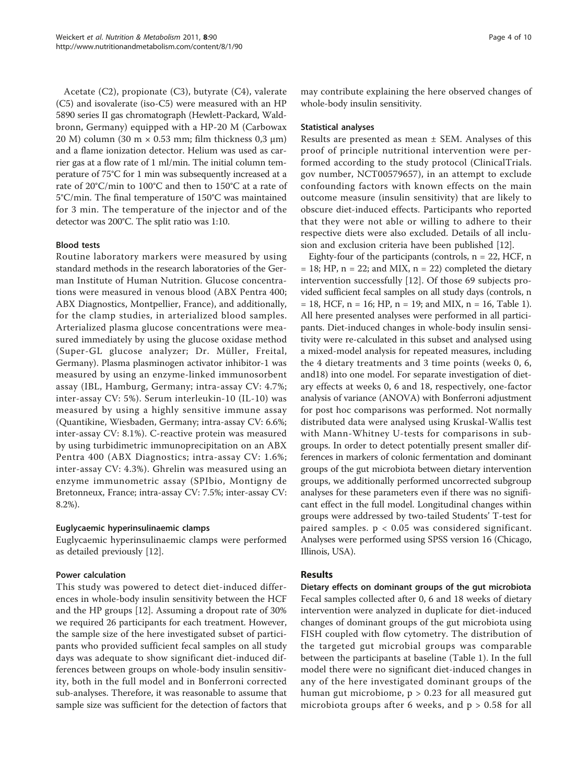Acetate (C2), propionate (C3), butyrate (C4), valerate (C5) and isovalerate (iso-C5) were measured with an HP 5890 series II gas chromatograph (Hewlett-Packard, Waldbronn, Germany) equipped with a HP-20 M (Carbowax 20 M) column (30 m × 0.53 mm; film thickness 0,3 μm) and a flame ionization detector. Helium was used as carrier gas at a flow rate of 1 ml/min. The initial column temperature of 75°C for 1 min was subsequently increased at a rate of 20°C/min to 100°C and then to 150°C at a rate of 5°C/min. The final temperature of 150°C was maintained for 3 min. The temperature of the injector and of the detector was 200°C. The split ratio was 1:10.

# Blood tests

Routine laboratory markers were measured by using standard methods in the research laboratories of the German Institute of Human Nutrition. Glucose concentrations were measured in venous blood (ABX Pentra 400; ABX Diagnostics, Montpellier, France), and additionally, for the clamp studies, in arterialized blood samples. Arterialized plasma glucose concentrations were measured immediately by using the glucose oxidase method (Super-GL glucose analyzer; Dr. Müller, Freital, Germany). Plasma plasminogen activator inhibitor-1 was measured by using an enzyme-linked immunosorbent assay (IBL, Hamburg, Germany; intra-assay CV: 4.7%; inter-assay CV: 5%). Serum interleukin-10 (IL-10) was measured by using a highly sensitive immune assay (Quantikine, Wiesbaden, Germany; intra-assay CV: 6.6%; inter-assay CV: 8.1%). C-reactive protein was measured by using turbidimetric immunoprecipitation on an ABX Pentra 400 (ABX Diagnostics; intra-assay CV: 1.6%; inter-assay CV: 4.3%). Ghrelin was measured using an enzyme immunometric assay (SPIbio, Montigny de Bretonneux, France; intra-assay CV: 7.5%; inter-assay CV: 8.2%).

# Euglycaemic hyperinsulinaemic clamps

Euglycaemic hyperinsulinaemic clamps were performed as detailed previously [[12](#page-8-0)].

# Power calculation

This study was powered to detect diet-induced differences in whole-body insulin sensitivity between the HCF and the HP groups [\[12\]](#page-8-0). Assuming a dropout rate of 30% we required 26 participants for each treatment. However, the sample size of the here investigated subset of participants who provided sufficient fecal samples on all study days was adequate to show significant diet-induced differences between groups on whole-body insulin sensitivity, both in the full model and in Bonferroni corrected sub-analyses. Therefore, it was reasonable to assume that sample size was sufficient for the detection of factors that may contribute explaining the here observed changes of whole-body insulin sensitivity.

# Statistical analyses

Results are presented as mean ± SEM. Analyses of this proof of principle nutritional intervention were performed according to the study protocol (ClinicalTrials. gov number, NCT00579657), in an attempt to exclude confounding factors with known effects on the main outcome measure (insulin sensitivity) that are likely to obscure diet-induced effects. Participants who reported that they were not able or willing to adhere to their respective diets were also excluded. Details of all inclusion and exclusion criteria have been published [\[12\]](#page-8-0).

Eighty-four of the participants (controls,  $n = 22$ , HCF, n  $= 18$ ; HP,  $n = 22$ ; and MIX,  $n = 22$ ) completed the dietary intervention successfully [[12\]](#page-8-0). Of those 69 subjects provided sufficient fecal samples on all study days (controls, n  $= 18$  $= 18$  $= 18$ , HCF, n = 16; HP, n = 19; and MIX, n = 16, Table 1). All here presented analyses were performed in all participants. Diet-induced changes in whole-body insulin sensitivity were re-calculated in this subset and analysed using a mixed-model analysis for repeated measures, including the 4 dietary treatments and 3 time points (weeks 0, 6, and18) into one model. For separate investigation of dietary effects at weeks 0, 6 and 18, respectively, one-factor analysis of variance (ANOVA) with Bonferroni adjustment for post hoc comparisons was performed. Not normally distributed data were analysed using Kruskal-Wallis test with Mann-Whitney U-tests for comparisons in subgroups. In order to detect potentially present smaller differences in markers of colonic fermentation and dominant groups of the gut microbiota between dietary intervention groups, we additionally performed uncorrected subgroup analyses for these parameters even if there was no significant effect in the full model. Longitudinal changes within groups were addressed by two-tailed Students' T-test for paired samples. p < 0.05 was considered significant. Analyses were performed using SPSS version 16 (Chicago, Illinois, USA).

# Results

Dietary effects on dominant groups of the gut microbiota Fecal samples collected after 0, 6 and 18 weeks of dietary intervention were analyzed in duplicate for diet-induced changes of dominant groups of the gut microbiota using FISH coupled with flow cytometry. The distribution of the targeted gut microbial groups was comparable between the participants at baseline (Table [1](#page-4-0)). In the full model there were no significant diet-induced changes in any of the here investigated dominant groups of the human gut microbiome,  $p > 0.23$  for all measured gut microbiota groups after 6 weeks, and p > 0.58 for all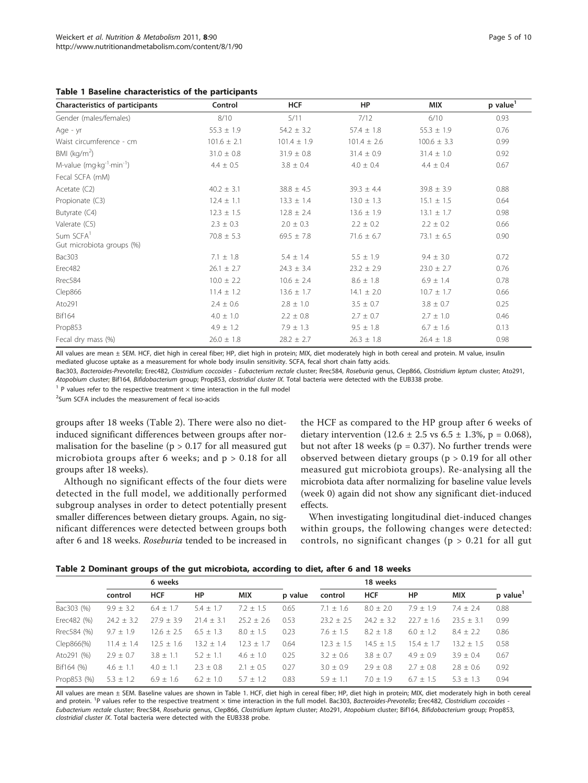<span id="page-4-0"></span>

|  |  |  | Table 1 Baseline characteristics of the participants |  |  |  |
|--|--|--|------------------------------------------------------|--|--|--|
|--|--|--|------------------------------------------------------|--|--|--|

| Characteristics of participants                    | Control         | <b>HCF</b>      | HP              | <b>MIX</b>      | p value <sup>1</sup> |
|----------------------------------------------------|-----------------|-----------------|-----------------|-----------------|----------------------|
| Gender (males/females)                             | 8/10            | 5/11            | 7/12            | 6/10            | 0.93                 |
| Age - yr                                           | $55.3 \pm 1.9$  | $54.2 \pm 3.2$  | $57.4 \pm 1.8$  | $55.3 \pm 1.9$  | 0.76                 |
| Waist circumference - cm                           | $101.6 \pm 2.1$ | $101.4 \pm 1.9$ | $101.4 \pm 2.6$ | $100.6 \pm 3.3$ | 0.99                 |
| BMI ( $kg/m2$ )                                    | $31.0 \pm 0.8$  | $31.9 \pm 0.8$  | $31.4 \pm 0.9$  | $31.4 \pm 1.0$  | 0.92                 |
| M-value $(mq \cdot kq^{-1} \cdot \text{min}^{-1})$ | $4.4 \pm 0.5$   | $3.8 \pm 0.4$   | $4.0 \pm 0.4$   | $4.4 \pm 0.4$   | 0.67                 |
| Fecal SCFA (mM)                                    |                 |                 |                 |                 |                      |
| Acetate $(C2)$                                     | $40.2 \pm 3.1$  | $38.8 \pm 4.5$  | $39.3 \pm 4.4$  | $39.8 \pm 3.9$  | 0.88                 |
| Propionate (C3)                                    | $12.4 \pm 1.1$  | $13.3 \pm 1.4$  | $13.0 \pm 1.3$  | $15.1 \pm 1.5$  | 0.64                 |
| Butyrate (C4)                                      | $12.3 \pm 1.5$  | $12.8 \pm 2.4$  | $13.6 \pm 1.9$  | $13.1 \pm 1.7$  | 0.98                 |
| Valerate (C5)                                      | $2.3 \pm 0.3$   | $2.0 \pm 0.3$   | $2.2 \pm 0.2$   | $2.2 \pm 0.2$   | 0.66                 |
| Sum SCFA <sup>1</sup><br>Gut microbiota groups (%) | $70.8 \pm 5.3$  | $69.5 \pm 7.8$  | $71.6 \pm 6.7$  | $73.1 \pm 6.5$  | 0.90                 |
| Bac303                                             | $7.1 \pm 1.8$   | $5.4 \pm 1.4$   | $5.5 \pm 1.9$   | $9.4 \pm 3.0$   | 0.72                 |
| Erec482                                            | $26.1 \pm 2.7$  | $24.3 \pm 3.4$  | $23.2 \pm 2.9$  | $23.0 \pm 2.7$  | 0.76                 |
| Rrec584                                            | $10.0 \pm 2.2$  | $10.6 \pm 2.4$  | $8.6 \pm 1.8$   | $6.9 \pm 1.4$   | 0.78                 |
| Clep866                                            | $11.4 \pm 1.2$  | $13.6 \pm 1.7$  | $14.1 \pm 2.0$  | $10.7 \pm 1.7$  | 0.66                 |
| Ato291                                             | $2.4 \pm 0.6$   | $2.8 \pm 1.0$   | $3.5 \pm 0.7$   | $3.8 \pm 0.7$   | 0.25                 |
| <b>Bif164</b>                                      | $4.0 \pm 1.0$   | $2.2 \pm 0.8$   | $2.7 \pm 0.7$   | $2.7 \pm 1.0$   | 0.46                 |
| Prop853                                            | $4.9 \pm 1.2$   | $7.9 \pm 1.3$   | $9.5 \pm 1.8$   | $6.7 \pm 1.6$   | 0.13                 |
| Fecal dry mass (%)                                 | $26.0 \pm 1.8$  | $28.2 \pm 2.7$  | $26.3 \pm 1.8$  | $26.4 \pm 1.8$  | 0.98                 |

All values are mean ± SEM. HCF, diet high in cereal fiber; HP, diet high in protein; MIX, diet moderately high in both cereal and protein. M value, insulin mediated glucose uptake as a measurement for whole body insulin sensitivity. SCFA, fecal short chain fatty acids.

Bac303, Bacteroides-Prevotella; Erec482, Clostridium coccoides - Eubacterium rectale cluster; Rrec584, Roseburia genus, Clep866, Clostridium leptum cluster; Ato291,

Atopobium cluster; Bif164, Bifidobacterium group; Prop853, clostridial cluster IX. Total bacteria were detected with the EUB338 probe.  $1$  P values refer to the respective treatment  $\times$  time interaction in the full model

<sup>2</sup>Sum SCFA includes the measurement of fecal iso-acids

groups after 18 weeks (Table 2). There were also no dietinduced significant differences between groups after normalisation for the baseline ( $p > 0.17$  for all measured gut microbiota groups after 6 weeks; and  $p > 0.18$  for all groups after 18 weeks).

Although no significant effects of the four diets were detected in the full model, we additionally performed subgroup analyses in order to detect potentially present smaller differences between dietary groups. Again, no significant differences were detected between groups both after 6 and 18 weeks. Roseburia tended to be increased in

the HCF as compared to the HP group after 6 weeks of dietary intervention  $(12.6 \pm 2.5 \text{ vs } 6.5 \pm 1.3\% , p = 0.068)$ , but not after 18 weeks ( $p = 0.37$ ). No further trends were observed between dietary groups (p > 0.19 for all other measured gut microbiota groups). Re-analysing all the microbiota data after normalizing for baseline value levels (week 0) again did not show any significant diet-induced effects.

When investigating longitudinal diet-induced changes within groups, the following changes were detected: controls, no significant changes ( $p > 0.21$  for all gut

|  |  |  |  | Table 2 Dominant groups of the gut microbiota, according to diet, after 6 and 18 weeks |
|--|--|--|--|----------------------------------------------------------------------------------------|
|--|--|--|--|----------------------------------------------------------------------------------------|

|             | 6 weeks        |                |                |               | 18 weeks |               |                |                |               |         |
|-------------|----------------|----------------|----------------|---------------|----------|---------------|----------------|----------------|---------------|---------|
|             | control        | <b>HCF</b>     | <b>HP</b>      | <b>MIX</b>    | p value  | control       | <b>HCF</b>     | HP             | <b>MIX</b>    | p value |
| Bac303 (%)  | $9.9 \pm 3.2$  | $6.4 \pm 1.7$  | $5.4 \pm 1.7$  | $7.2 \pm 1.5$ | 0.65     | $7.1 + 1.6$   | $8.0 \pm 2.0$  | $7.9 + 1.9$    | $7.4 \pm 2.4$ | 0.88    |
| Erec482 (%) | $24.2 \pm 3.2$ | $27.9 \pm 3.9$ | $21.4 \pm 3.1$ | $25.2 + 2.6$  | 0.53     | $23.2 + 2.5$  | $24.2 \pm 3.2$ | $22.7 \pm 1.6$ | $23.5 + 3.1$  | 0.99    |
| Rrec584 (%) | $9.7 \pm 1.9$  | $12.6 \pm 2.5$ | $6.5 \pm 1.3$  | $8.0 \pm 1.5$ | 0.23     | $7.6 + 1.5$   | $8.2 \pm 1.8$  | $6.0 + 1.2$    | $8.4 \pm 2.2$ | 0.86    |
| Clep866(%)  | $11.4 \pm 1.4$ | $12.5 \pm 1.6$ | $13.2 \pm 1.4$ | $12.3 + 1.7$  | 0.64     | $12.3 + 1.5$  | $14.5 + 1.5$   | $15.4 + 1.7$   | $13.2 + 1.5$  | 0.58    |
| Ato291 (%)  | $2.9 \pm 0.7$  | $3.8 \pm 1.1$  | $5.2 + 1.1$    | $4.6 \pm 1.0$ | 0.25     | $3.2 \pm 0.6$ | $3.8 \pm 0.7$  | $4.9 \pm 0.9$  | $3.9 \pm 0.4$ | 0.67    |
| Bif164 (%)  | $4.6 \pm 1.1$  | $4.0 \pm 1.1$  | $2.3 \pm 0.8$  | $2.1 \pm 0.5$ | 0.27     | $3.0 \pm 0.9$ | $2.9 \pm 0.8$  | $2.7 + 0.8$    | $2.8 \pm 0.6$ | 0.92    |
| Prop853 (%) | $5.3 \pm 1.2$  | $6.9 \pm 1.6$  | $6.2 + 1.0$    | $57 + 12$     | 0.83     | $5.9 + 1.1$   | $7.0 + 1.9$    | $67 + 15$      | $53 + 13$     | 0.94    |

All values are mean ± SEM. Baseline values are shown in Table 1. HCF, diet high in cereal fiber; HP, diet high in protein; MIX, diet moderately high in both cereal and protein. <sup>1</sup>P values refer to the respective treatment × time interaction in the full model. Bac303, Bacteroides-Prevotella; Erec482, Clostridium coccoides -Eubacterium rectale cluster; Rrec584, Roseburia genus, Clep866, Clostridium leptum cluster; Ato291, Atopobium cluster; Bif164, Bifidobacterium group; Prop853, clostridial cluster IX. Total bacteria were detected with the EUB338 probe.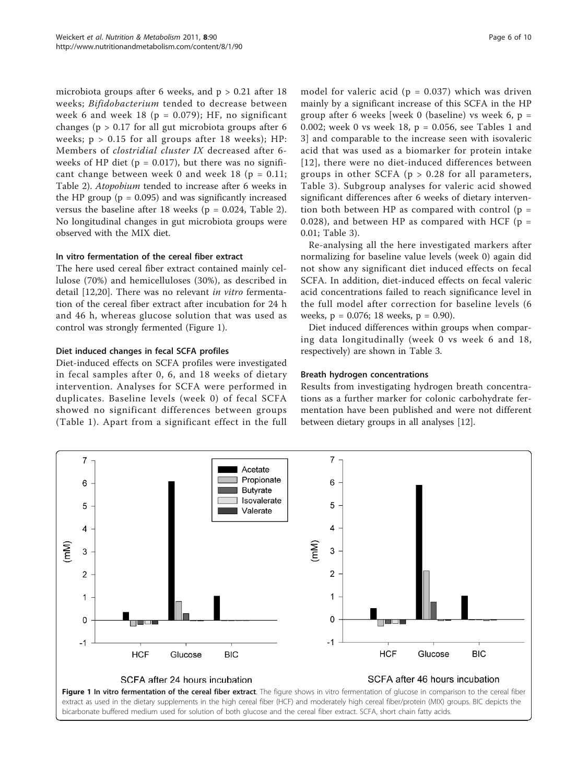microbiota groups after 6 weeks, and  $p > 0.21$  after 18 weeks; Bifidobacterium tended to decrease between week 6 and week 18 ( $p = 0.079$ ); HF, no significant changes ( $p > 0.17$  for all gut microbiota groups after 6 weeks;  $p > 0.15$  for all groups after 18 weeks); HP: Members of clostridial cluster IX decreased after 6 weeks of HP diet ( $p = 0.017$ ), but there was no significant change between week 0 and week 18 ( $p = 0.11$ ; Table [2\)](#page-4-0). Atopobium tended to increase after 6 weeks in the HP group ( $p = 0.095$ ) and was significantly increased versus the baseline after 18 weeks ( $p = 0.024$ , Table [2](#page-4-0)). No longitudinal changes in gut microbiota groups were observed with the MIX diet.

# In vitro fermentation of the cereal fiber extract

The here used cereal fiber extract contained mainly cellulose (70%) and hemicelluloses (30%), as described in detail [\[12](#page-8-0),[20\]](#page-8-0). There was no relevant *in vitro* fermentation of the cereal fiber extract after incubation for 24 h and 46 h, whereas glucose solution that was used as control was strongly fermented (Figure 1).

# Diet induced changes in fecal SCFA profiles

Diet-induced effects on SCFA profiles were investigated in fecal samples after 0, 6, and 18 weeks of dietary intervention. Analyses for SCFA were performed in duplicates. Baseline levels (week 0) of fecal SCFA showed no significant differences between groups (Table [1](#page-4-0)). Apart from a significant effect in the full model for valeric acid ( $p = 0.037$ ) which was driven mainly by a significant increase of this SCFA in the HP group after 6 weeks [week 0 (baseline) vs week 6,  $p =$ 0.002; week 0 vs week 18, p = 0.056, see Tables [1](#page-4-0) and [3\]](#page-6-0) and comparable to the increase seen with isovaleric acid that was used as a biomarker for protein intake [[12\]](#page-8-0), there were no diet-induced differences between groups in other SCFA ( $p > 0.28$  for all parameters, Table [3\)](#page-6-0). Subgroup analyses for valeric acid showed significant differences after 6 weeks of dietary intervention both between HP as compared with control  $(p =$ 0.028), and between HP as compared with HCF ( $p =$ 0.01; Table [3\)](#page-6-0).

Re-analysing all the here investigated markers after normalizing for baseline value levels (week 0) again did not show any significant diet induced effects on fecal SCFA. In addition, diet-induced effects on fecal valeric acid concentrations failed to reach significance level in the full model after correction for baseline levels (6 weeks, p = 0.076; 18 weeks, p = 0.90).

Diet induced differences within groups when comparing data longitudinally (week 0 vs week 6 and 18, respectively) are shown in Table [3.](#page-6-0)

# Breath hydrogen concentrations

Results from investigating hydrogen breath concentrations as a further marker for colonic carbohydrate fermentation have been published and were not different between dietary groups in all analyses [[12](#page-8-0)].

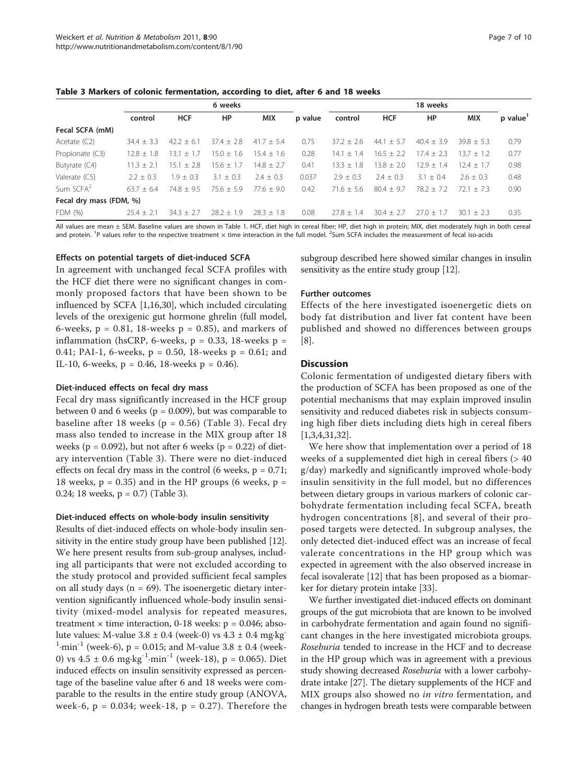### <span id="page-6-0"></span>Table 3 Markers of colonic fermentation, according to diet, after 6 and 18 weeks

|                         | 6 weeks      |                |                |                |         | 18 weeks     |              |              |                |                        |
|-------------------------|--------------|----------------|----------------|----------------|---------|--------------|--------------|--------------|----------------|------------------------|
|                         | control      | <b>HCF</b>     | HP             | <b>MIX</b>     | p value | control      | <b>HCF</b>   | HP           | <b>MIX</b>     | $p$ value <sup>1</sup> |
| Fecal SCFA (mM)         |              |                |                |                |         |              |              |              |                |                        |
| Acetate $(C2)$          | $34.4 + 3.3$ | $42.2 \pm 6.1$ | $37.4 + 2.8$   | $41.7 + 5.4$   | 0.75    | $37.2 + 2.6$ | $44.1 + 5.7$ | $40.4 + 3.9$ | $39.8 + 5.3$   | 0.79                   |
| Propionate (C3)         | $12.8 + 1.8$ | $13.1 \pm 1.7$ | $15.0 \pm 1.6$ | $15.4 + 1.6$   | 0.28    | $14.1 + 1.4$ | $16.5 + 2.2$ | $17.4 + 2.3$ | $13.7 \pm 1.2$ | 0.77                   |
| Butyrate (C4)           | $11.3 + 2.1$ | $15.1 \pm 2.8$ | $15.6 \pm 1.7$ | $14.8 \pm 2.7$ | 0.41    | $13.3 + 1.8$ | $13.8 + 2.0$ | $12.9 + 1.4$ | $12.4 + 1.7$   | 0.98                   |
| Valerate (C5)           | $2.2 + 0.3$  | $1.9 + 0.3$    | $3.1 \pm 0.3$  | $2.4 + 0.3$    | 0.037   | $2.9 + 0.3$  | $2.4 + 0.3$  | $3.1 + 0.4$  | $2.6 + 0.3$    | 0.48                   |
| Sum SCFA <sup>2</sup>   | $63.7 + 6.4$ | $74.8 + 9.5$   | $75.6 + 5.9$   | $77.6 + 9.0$   | 0.42    | $71.6 + 5.6$ | $80.4 + 9.7$ | $78.2 + 7.2$ | $721 + 73$     | 0.90                   |
| Fecal dry mass (FDM, %) |              |                |                |                |         |              |              |              |                |                        |
| FDM (%)                 | $25.4 + 2.1$ | $34.3 + 2.7$   | $28.2 \pm 1.9$ | $78.3 + 1.8$   | 0.08    | $77.8 + 1.4$ | $30.4 + 2.7$ | $27.0 + 1.7$ | $30.1 + 2.3$   | 0.35                   |

All values are mean ± SEM. Baseline values are shown in Table 1. HCF, diet high in cereal fiber; HP, diet high in protein; MIX, diet moderately high in both cereal and protein. <sup>1</sup>P values refer to the respective treatment × time interaction in the full model. <sup>2</sup>Sum SCFA includes the measurement of fecal iso-acids

#### Effects on potential targets of diet-induced SCFA

In agreement with unchanged fecal SCFA profiles with the HCF diet there were no significant changes in commonly proposed factors that have been shown to be influenced by SCFA [[1,16,30\]](#page-8-0), which included circulating levels of the orexigenic gut hormone ghrelin (full model, 6-weeks,  $p = 0.81$ , 18-weeks  $p = 0.85$ ), and markers of inflammation (hsCRP, 6-weeks,  $p = 0.33$ , 18-weeks  $p =$ 0.41; PAI-1, 6-weeks,  $p = 0.50$ , 18-weeks  $p = 0.61$ ; and IL-10, 6-weeks,  $p = 0.46$ , 18-weeks  $p = 0.46$ ).

#### Diet-induced effects on fecal dry mass

Fecal dry mass significantly increased in the HCF group between 0 and 6 weeks ( $p = 0.009$ ), but was comparable to baseline after 18 weeks ( $p = 0.56$ ) (Table 3). Fecal dry mass also tended to increase in the MIX group after 18 weeks ( $p = 0.092$ ), but not after 6 weeks ( $p = 0.22$ ) of dietary intervention (Table 3). There were no diet-induced effects on fecal dry mass in the control (6 weeks,  $p = 0.71$ ; 18 weeks,  $p = 0.35$ ) and in the HP groups (6 weeks,  $p =$ 0.24; 18 weeks, p = 0.7) (Table 3).

#### Diet-induced effects on whole-body insulin sensitivity

Results of diet-induced effects on whole-body insulin sensitivity in the entire study group have been published [[12](#page-8-0)]. We here present results from sub-group analyses, including all participants that were not excluded according to the study protocol and provided sufficient fecal samples on all study days ( $n = 69$ ). The isoenergetic dietary intervention significantly influenced whole-body insulin sensitivity (mixed-model analysis for repeated measures, treatment  $\times$  time interaction, 0-18 weeks:  $p = 0.046$ ; absolute values: M-value  $3.8 \pm 0.4$  (week-0) vs  $4.3 \pm 0.4$  mg·kg<sup>-</sup>  $1$ ·min<sup>-1</sup> (week-6), p = 0.015; and M-value 3.8  $\pm$  0.4 (week-0) vs  $4.5 \pm 0.6$  mg·kg<sup>-1</sup>·min<sup>-1</sup> (week-18), p = 0.065). Diet induced effects on insulin sensitivity expressed as percentage of the baseline value after 6 and 18 weeks were comparable to the results in the entire study group (ANOVA, week-6,  $p = 0.034$ ; week-18,  $p = 0.27$ ). Therefore the

subgroup described here showed similar changes in insulin sensitivity as the entire study group [\[12\]](#page-8-0).

### Further outcomes

Effects of the here investigated isoenergetic diets on body fat distribution and liver fat content have been published and showed no differences between groups [[8\]](#page-8-0).

### **Discussion**

Colonic fermentation of undigested dietary fibers with the production of SCFA has been proposed as one of the potential mechanisms that may explain improved insulin sensitivity and reduced diabetes risk in subjects consuming high fiber diets including diets high in cereal fibers [[1,3,4,31,](#page-8-0)[32\]](#page-9-0).

We here show that implementation over a period of 18 weeks of a supplemented diet high in cereal fibers (> 40 g/day) markedly and significantly improved whole-body insulin sensitivity in the full model, but no differences between dietary groups in various markers of colonic carbohydrate fermentation including fecal SCFA, breath hydrogen concentrations [[8](#page-8-0)], and several of their proposed targets were detected. In subgroup analyses, the only detected diet-induced effect was an increase of fecal valerate concentrations in the HP group which was expected in agreement with the also observed increase in fecal isovalerate [[12\]](#page-8-0) that has been proposed as a biomarker for dietary protein intake [[33\]](#page-9-0).

We further investigated diet-induced effects on dominant groups of the gut microbiota that are known to be involved in carbohydrate fermentation and again found no significant changes in the here investigated microbiota groups. Roseburia tended to increase in the HCF and to decrease in the HP group which was in agreement with a previous study showing decreased Roseburia with a lower carbohydrate intake [[27](#page-8-0)]. The dietary supplements of the HCF and MIX groups also showed no in vitro fermentation, and changes in hydrogen breath tests were comparable between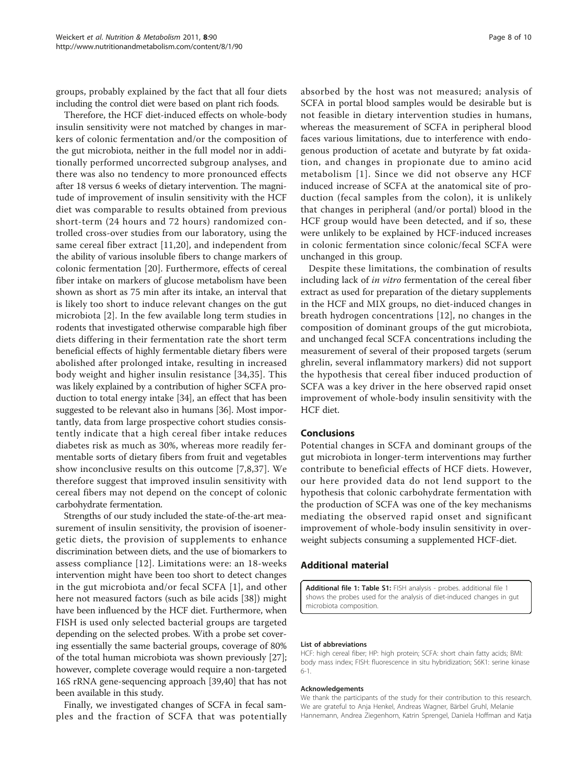<span id="page-7-0"></span>groups, probably explained by the fact that all four diets including the control diet were based on plant rich foods.

Therefore, the HCF diet-induced effects on whole-body insulin sensitivity were not matched by changes in markers of colonic fermentation and/or the composition of the gut microbiota, neither in the full model nor in additionally performed uncorrected subgroup analyses, and there was also no tendency to more pronounced effects after 18 versus 6 weeks of dietary intervention. The magnitude of improvement of insulin sensitivity with the HCF diet was comparable to results obtained from previous short-term (24 hours and 72 hours) randomized controlled cross-over studies from our laboratory, using the same cereal fiber extract [[11,20](#page-8-0)], and independent from the ability of various insoluble fibers to change markers of colonic fermentation [[20](#page-8-0)]. Furthermore, effects of cereal fiber intake on markers of glucose metabolism have been shown as short as 75 min after its intake, an interval that is likely too short to induce relevant changes on the gut microbiota [\[2](#page-8-0)]. In the few available long term studies in rodents that investigated otherwise comparable high fiber diets differing in their fermentation rate the short term beneficial effects of highly fermentable dietary fibers were abolished after prolonged intake, resulting in increased body weight and higher insulin resistance [\[34,35](#page-9-0)]. This was likely explained by a contribution of higher SCFA production to total energy intake [\[34\]](#page-9-0), an effect that has been suggested to be relevant also in humans [[36](#page-9-0)]. Most importantly, data from large prospective cohort studies consistently indicate that a high cereal fiber intake reduces diabetes risk as much as 30%, whereas more readily fermentable sorts of dietary fibers from fruit and vegetables show inconclusive results on this outcome [[7,8](#page-8-0)[,37](#page-9-0)]. We therefore suggest that improved insulin sensitivity with cereal fibers may not depend on the concept of colonic carbohydrate fermentation.

Strengths of our study included the state-of-the-art measurement of insulin sensitivity, the provision of isoenergetic diets, the provision of supplements to enhance discrimination between diets, and the use of biomarkers to assess compliance [[12\]](#page-8-0). Limitations were: an 18-weeks intervention might have been too short to detect changes in the gut microbiota and/or fecal SCFA [[1\]](#page-8-0), and other here not measured factors (such as bile acids [\[38](#page-9-0)]) might have been influenced by the HCF diet. Furthermore, when FISH is used only selected bacterial groups are targeted depending on the selected probes. With a probe set covering essentially the same bacterial groups, coverage of 80% of the total human microbiota was shown previously [[27](#page-8-0)]; however, complete coverage would require a non-targeted 16S rRNA gene-sequencing approach [[39,40](#page-9-0)] that has not been available in this study.

Finally, we investigated changes of SCFA in fecal samples and the fraction of SCFA that was potentially absorbed by the host was not measured; analysis of SCFA in portal blood samples would be desirable but is not feasible in dietary intervention studies in humans, whereas the measurement of SCFA in peripheral blood faces various limitations, due to interference with endogenous production of acetate and butyrate by fat oxidation, and changes in propionate due to amino acid metabolism [[1\]](#page-8-0). Since we did not observe any HCF induced increase of SCFA at the anatomical site of production (fecal samples from the colon), it is unlikely that changes in peripheral (and/or portal) blood in the HCF group would have been detected, and if so, these were unlikely to be explained by HCF-induced increases in colonic fermentation since colonic/fecal SCFA were unchanged in this group.

Despite these limitations, the combination of results including lack of in vitro fermentation of the cereal fiber extract as used for preparation of the dietary supplements in the HCF and MIX groups, no diet-induced changes in breath hydrogen concentrations [[12\]](#page-8-0), no changes in the composition of dominant groups of the gut microbiota, and unchanged fecal SCFA concentrations including the measurement of several of their proposed targets (serum ghrelin, several inflammatory markers) did not support the hypothesis that cereal fiber induced production of SCFA was a key driver in the here observed rapid onset improvement of whole-body insulin sensitivity with the HCF diet.

# Conclusions

Potential changes in SCFA and dominant groups of the gut microbiota in longer-term interventions may further contribute to beneficial effects of HCF diets. However, our here provided data do not lend support to the hypothesis that colonic carbohydrate fermentation with the production of SCFA was one of the key mechanisms mediating the observed rapid onset and significant improvement of whole-body insulin sensitivity in overweight subjects consuming a supplemented HCF-diet.

#### Additional material

[Additional file 1: T](http://www.biomedcentral.com/content/supplementary/1743-7075-8-90-S1.DOC)able S1: FISH analysis - probes. additional file 1 shows the probes used for the analysis of diet-induced changes in gut microbiota composition.

#### List of abbreviations

HCF: high cereal fiber; HP: high protein; SCFA: short chain fatty acids; BMI: body mass index; FISH: fluorescence in situ hybridization; S6K1: serine kinase 6-1.

#### Acknowledgements

We thank the participants of the study for their contribution to this research. We are grateful to Anja Henkel, Andreas Wagner, Bärbel Gruhl, Melanie Hannemann, Andrea Ziegenhorn, Katrin Sprengel, Daniela Hoffman and Katja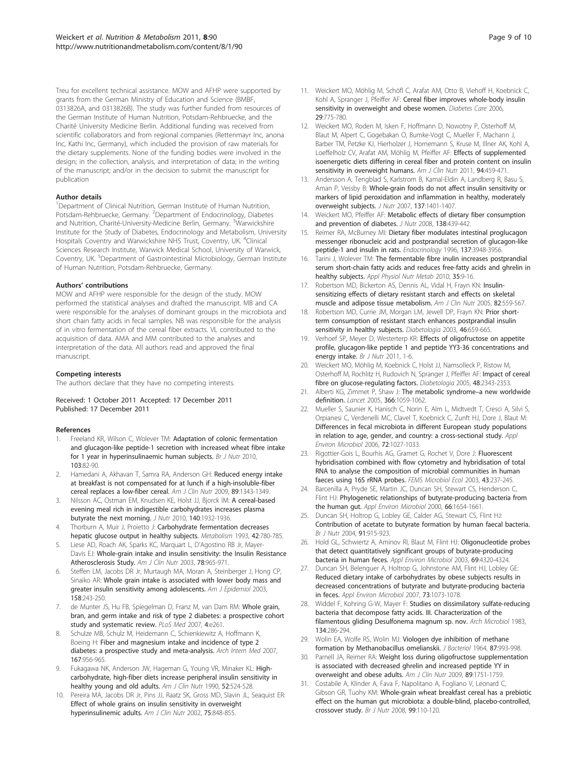<span id="page-8-0"></span>Treu for excellent technical assistance. MOW and AFHP were supported by grants from the German Ministry of Education and Science (BMBF, 0313826A, and 0313826B). The study was further funded from resources of the German Institute of Human Nutrition, Potsdam-Rehbruecke, and the Charité University Medicine Berlin. Additional funding was received from scientific collaborators and from regional companies (Rettenmayr Inc, anona Inc, Kathi Inc, Germany), which included the provision of raw materials for the dietary supplements. None of the funding bodies were involved in the design; in the collection, analysis, and interpretation of data; in the writing of the manuscript; and/or in the decision to submit the manuscript for publication

#### Author details

<sup>1</sup>Department of Clinical Nutrition, German Institute of Human Nutrition, Potsdam-Rehbruecke, Germany. <sup>2</sup>Department of Endocrinology, Diabetes and Nutrition, Charité-University-Medicine Berlin, Germany. <sup>3</sup>Warwickshire Institute for the Study of Diabetes, Endocrinology and Metabolism, University Hospitals Coventry and Warwickshire NHS Trust, Coventry, UK. <sup>4</sup>Clinical Sciences Research Institute, Warwick Medical School, University of Warwick, Coventry, UK. <sup>5</sup>Department of Gastrointestinal Microbiology, German Institute of Human Nutrition, Potsdam-Rehbruecke, Germany.

#### Authors' contributions

MOW and AFHP were responsible for the design of the study. MOW performed the statistical analyses and drafted the manuscript. MB and CA were responsible for the analyses of dominant groups in the microbiota and short chain fatty acids in fecal samples. NB was responsible for the analysis of in vitro fermentation of the cereal fiber extracts. VL contributed to the acquisition of data. AMA and MM contributed to the analyses and interpretation of the data. All authors read and approved the final manuscript.

#### Competing interests

The authors declare that they have no competing interests.

Received: 1 October 2011 Accepted: 17 December 2011 Published: 17 December 2011

#### References

- 1. Freeland KR, Wilson C, Wolever TM: [Adaptation of colonic fermentation](http://www.ncbi.nlm.nih.gov/pubmed/19664300?dopt=Abstract) [and glucagon-like peptide-1 secretion with increased wheat fibre intake](http://www.ncbi.nlm.nih.gov/pubmed/19664300?dopt=Abstract) [for 1 year in hyperinsulinaemic human subjects.](http://www.ncbi.nlm.nih.gov/pubmed/19664300?dopt=Abstract) Br J Nutr 2010, 103:82-90.
- Hamedani A, Akhavan T, Samra RA, Anderson GH: [Reduced energy intake](http://www.ncbi.nlm.nih.gov/pubmed/19339400?dopt=Abstract) [at breakfast is not compensated for at lunch if a high-insoluble-fiber](http://www.ncbi.nlm.nih.gov/pubmed/19339400?dopt=Abstract) [cereal replaces a low-fiber cereal.](http://www.ncbi.nlm.nih.gov/pubmed/19339400?dopt=Abstract) Am J Clin Nutr 2009, 89:1343-1349.
- 3. Nilsson AC, Ostman EM, Knudsen KE, Holst JJ, Bjorck IM: [A cereal-based](http://www.ncbi.nlm.nih.gov/pubmed/20810606?dopt=Abstract) [evening meal rich in indigestible carbohydrates increases plasma](http://www.ncbi.nlm.nih.gov/pubmed/20810606?dopt=Abstract) [butyrate the next morning.](http://www.ncbi.nlm.nih.gov/pubmed/20810606?dopt=Abstract) J Nutr 2010, 140:1932-1936.
- Thorburn A, Muir J, Proietto J: [Carbohydrate fermentation decreases](http://www.ncbi.nlm.nih.gov/pubmed/8510524?dopt=Abstract) [hepatic glucose output in healthy subjects.](http://www.ncbi.nlm.nih.gov/pubmed/8510524?dopt=Abstract) Metabolism 1993, 42:780-785.
- 5. Liese AD, Roach AK, Sparks KC, Marquart L, D'Agostino RB Jr, Mayer-Davis EJ: [Whole-grain intake and insulin sensitivity: the Insulin Resistance](http://www.ncbi.nlm.nih.gov/pubmed/14594783?dopt=Abstract) [Atherosclerosis Study.](http://www.ncbi.nlm.nih.gov/pubmed/14594783?dopt=Abstract) Am J Clin Nutr 2003, 78:965-971.
- Steffen LM, Jacobs DR Jr, Murtaugh MA, Moran A, Steinberger J, Hong CP, Sinaiko AR: [Whole grain intake is associated with lower body mass and](http://www.ncbi.nlm.nih.gov/pubmed/12882946?dopt=Abstract) [greater insulin sensitivity among adolescents.](http://www.ncbi.nlm.nih.gov/pubmed/12882946?dopt=Abstract) Am J Epidemiol 2003, 158:243-250.
- 7. de Munter JS, Hu FB, Spiegelman D, Franz M, van Dam RM: [Whole grain,](http://www.ncbi.nlm.nih.gov/pubmed/17760498?dopt=Abstract) [bran, and germ intake and risk of type 2 diabetes: a prospective cohort](http://www.ncbi.nlm.nih.gov/pubmed/17760498?dopt=Abstract) [study and systematic review.](http://www.ncbi.nlm.nih.gov/pubmed/17760498?dopt=Abstract) PLoS Med 2007, 4:e261.
- Schulze MB, Schulz M, Heidemann C, Schienkiewitz A, Hoffmann K, Boeing H: [Fiber and magnesium intake and incidence of type 2](http://www.ncbi.nlm.nih.gov/pubmed/17502538?dopt=Abstract) [diabetes: a prospective study and meta-analysis.](http://www.ncbi.nlm.nih.gov/pubmed/17502538?dopt=Abstract) Arch Intern Med 2007, 167:956-965.
- 9. Fukagawa NK, Anderson JW, Hageman G, Young VR, Minaker KL: [High](http://www.ncbi.nlm.nih.gov/pubmed/2168124?dopt=Abstract)[carbohydrate, high-fiber diets increase peripheral insulin sensitivity in](http://www.ncbi.nlm.nih.gov/pubmed/2168124?dopt=Abstract) [healthy young and old adults.](http://www.ncbi.nlm.nih.gov/pubmed/2168124?dopt=Abstract) Am J Clin Nutr 1990, 52:524-528.
- 10. Pereira MA, Jacobs DR Jr, Pins JJ, Raatz SK, Gross MD, Slavin JL, Seaquist ER: [Effect of whole grains on insulin sensitivity in overweight](http://www.ncbi.nlm.nih.gov/pubmed/11976158?dopt=Abstract) [hyperinsulinemic adults.](http://www.ncbi.nlm.nih.gov/pubmed/11976158?dopt=Abstract) Am J Clin Nutr 2002, 75:848-855.
- 11. Weickert MO, Möhlig M, Schöfl C, Arafat AM, Otto B, Viehoff H, Koebnick C, Kohl A, Spranger J, Pfeiffer AF: [Cereal fiber improves whole-body insulin](http://www.ncbi.nlm.nih.gov/pubmed/16567814?dopt=Abstract) [sensitivity in overweight and obese women.](http://www.ncbi.nlm.nih.gov/pubmed/16567814?dopt=Abstract) Diabetes Care 2006, 29:775-780.
- 12. Weickert MO, Roden M, Isken F, Hoffmann D, Nowotny P, Osterhoff M, Blaut M, Alpert C, Gogebakan O, Bumke-Vogt C, Mueller F, Machann J, Barber TM, Petzke KJ, Hierholzer J, Hornemann S, Kruse M, Illner AK, Kohl A, Loeffelholz CV, Arafat AM, Möhlig M, Pfeiffer AF: [Effects of supplemented](http://www.ncbi.nlm.nih.gov/pubmed/21633074?dopt=Abstract) [isoenergetic diets differing in cereal fiber and protein content on insulin](http://www.ncbi.nlm.nih.gov/pubmed/21633074?dopt=Abstract) [sensitivity in overweight humans.](http://www.ncbi.nlm.nih.gov/pubmed/21633074?dopt=Abstract) Am J Clin Nutr 2011, 94:459-471.
- 13. Andersson A, Tengblad S, Karlstrom B, Kamal-Eldin A, Landberg R, Basu S, Aman P, Vessby B: [Whole-grain foods do not affect insulin sensitivity or](http://www.ncbi.nlm.nih.gov/pubmed/17513398?dopt=Abstract) [markers of lipid peroxidation and inflammation in healthy, moderately](http://www.ncbi.nlm.nih.gov/pubmed/17513398?dopt=Abstract) [overweight subjects.](http://www.ncbi.nlm.nih.gov/pubmed/17513398?dopt=Abstract) J Nutr 2007, 137:1401-1407.
- 14. Weickert MO, Pfeiffer AF: [Metabolic effects of dietary fiber consumption](http://www.ncbi.nlm.nih.gov/pubmed/18287346?dopt=Abstract) [and prevention of diabetes.](http://www.ncbi.nlm.nih.gov/pubmed/18287346?dopt=Abstract) J Nutr 2008, 138:439-442.
- 15. Reimer RA, McBurney MI: [Dietary fiber modulates intestinal proglucagon](http://www.ncbi.nlm.nih.gov/pubmed/8756571?dopt=Abstract) [messenger ribonucleic acid and postprandial secretion of glucagon-like](http://www.ncbi.nlm.nih.gov/pubmed/8756571?dopt=Abstract) [peptide-1 and insulin in rats.](http://www.ncbi.nlm.nih.gov/pubmed/8756571?dopt=Abstract) Endocrinology 1996, 137:3948-3956.
- 16. Tarini J, Wolever TM: [The fermentable fibre inulin increases postprandial](http://www.ncbi.nlm.nih.gov/pubmed/20130660?dopt=Abstract) [serum short-chain fatty acids and reduces free-fatty acids and ghrelin in](http://www.ncbi.nlm.nih.gov/pubmed/20130660?dopt=Abstract) [healthy subjects.](http://www.ncbi.nlm.nih.gov/pubmed/20130660?dopt=Abstract) Appl Physiol Nutr Metab 2010, 35:9-16.
- 17. Robertson MD, Bickerton AS, Dennis AL, Vidal H, Frayn KN: [Insulin](http://www.ncbi.nlm.nih.gov/pubmed/16155268?dopt=Abstract)[sensitizing effects of dietary resistant starch and effects on skeletal](http://www.ncbi.nlm.nih.gov/pubmed/16155268?dopt=Abstract) [muscle and adipose tissue metabolism.](http://www.ncbi.nlm.nih.gov/pubmed/16155268?dopt=Abstract) Am J Clin Nutr 2005, 82:559-567.
- 18. Robertson MD, Currie JM, Morgan LM, Jewell DP, Frayn KN: [Prior short](http://www.ncbi.nlm.nih.gov/pubmed/12712245?dopt=Abstract)[term consumption of resistant starch enhances postprandial insulin](http://www.ncbi.nlm.nih.gov/pubmed/12712245?dopt=Abstract) [sensitivity in healthy subjects.](http://www.ncbi.nlm.nih.gov/pubmed/12712245?dopt=Abstract) Diabetologia 2003, 46:659-665.
- 19. Verhoef SP, Meyer D, Westerterp KR: Effects of oligofructose on appetite profile, glucagon-like peptide 1 and peptide YY3-36 concentrations and energy intake. Br J Nutr 2011, 1-6.
- 20. Weickert MO, Möhlig M, Koebnick C, Holst JJ, Namsolleck P, Ristow M, Osterhoff M, Rochlitz H, Rudovich N, Spranger J, Pfeiffer AF: [Impact of cereal](http://www.ncbi.nlm.nih.gov/pubmed/16172868?dopt=Abstract) [fibre on glucose-regulating factors.](http://www.ncbi.nlm.nih.gov/pubmed/16172868?dopt=Abstract) Diabetologia 2005, 48:2343-2353.
- 21. Alberti KG, Zimmet P, Shaw J: [The metabolic syndrome](http://www.ncbi.nlm.nih.gov/pubmed/16182882?dopt=Abstract)-a new worldwide [definition.](http://www.ncbi.nlm.nih.gov/pubmed/16182882?dopt=Abstract) Lancet 2005, 366:1059-1062.
- 22. Mueller S, Saunier K, Hanisch C, Norin E, Alm L, Midtvedt T, Cresci A, Silvi S, Orpianesi C, Verdenelli MC, Clavel T, Koebnick C, Zunft HJ, Dore J, Blaut M: [Differences in fecal microbiota in different European study populations](http://www.ncbi.nlm.nih.gov/pubmed/16461645?dopt=Abstract) [in relation to age, gender, and country: a cross-sectional study.](http://www.ncbi.nlm.nih.gov/pubmed/16461645?dopt=Abstract) Appl Environ Microbiol 2006, 72:1027-1033.
- 23. Rigottier-Gois L, Bourhis AG, Gramet G, Rochet V, Dore J: [Fluorescent](http://www.ncbi.nlm.nih.gov/pubmed/19719684?dopt=Abstract) [hybridisation combined with flow cytometry and hybridisation of total](http://www.ncbi.nlm.nih.gov/pubmed/19719684?dopt=Abstract) [RNA to analyse the composition of microbial communities in human](http://www.ncbi.nlm.nih.gov/pubmed/19719684?dopt=Abstract) [faeces using 16S rRNA probes.](http://www.ncbi.nlm.nih.gov/pubmed/19719684?dopt=Abstract) FEMS Microbiol Ecol 2003, 43:237-245.
- 24. Barcenilla A, Pryde SE, Martin JC, Duncan SH, Stewart CS, Henderson C, Flint HJ: [Phylogenetic relationships of butyrate-producing bacteria from](http://www.ncbi.nlm.nih.gov/pubmed/10742256?dopt=Abstract) [the human gut.](http://www.ncbi.nlm.nih.gov/pubmed/10742256?dopt=Abstract) Appl Environ Microbiol 2000, 66:1654-1661.
- 25. Duncan SH, Holtrop G, Lobley GE, Calder AG, Stewart CS, Flint HJ: [Contribution of acetate to butyrate formation by human faecal bacteria.](http://www.ncbi.nlm.nih.gov/pubmed/15182395?dopt=Abstract) Br J Nutr 2004, 91:915-923.
- 26. Hold GL, Schwiertz A, Aminov RI, Blaut M, Flint HJ: [Oligonucleotide probes](http://www.ncbi.nlm.nih.gov/pubmed/12839823?dopt=Abstract) [that detect quantitatively significant groups of butyrate-producing](http://www.ncbi.nlm.nih.gov/pubmed/12839823?dopt=Abstract) [bacteria in human feces.](http://www.ncbi.nlm.nih.gov/pubmed/12839823?dopt=Abstract) Appl Environ Microbiol 2003, 69:4320-4324.
- 27. Duncan SH, Belenguer A, Holtrop G, Johnstone AM, Flint HJ, Lobley GE: [Reduced dietary intake of carbohydrates by obese subjects results in](http://www.ncbi.nlm.nih.gov/pubmed/17189447?dopt=Abstract) decreased [concentrations of butyrate and butyrate-producing bacteria](http://www.ncbi.nlm.nih.gov/pubmed/17189447?dopt=Abstract) [in feces.](http://www.ncbi.nlm.nih.gov/pubmed/17189447?dopt=Abstract) Appl Environ Microbiol 2007, 73:1073-1078.
- 28. Widdel F, Kohring G-W, Mayer F: Studies on dissimilatory sulfate-reducing bacteria that decompose fatty acids. III. Characterization of the filamentous gliding Desulfonema magnum sp. nov. Arch Microbiol 1983, 134:286-294.
- 29. Wolin EA, Wolfe RS, Wolin MJ: [Viologen dye inhibition of methane](http://www.ncbi.nlm.nih.gov/pubmed/5874549?dopt=Abstract) [formation by Methanobacillus omelianskii.](http://www.ncbi.nlm.nih.gov/pubmed/5874549?dopt=Abstract) J Bacteriol 1964, 87:993-998.
- 30. Parnell JA, Reimer RA: [Weight loss during oligofructose supplementation](http://www.ncbi.nlm.nih.gov/pubmed/19386741?dopt=Abstract) [is associated with decreased ghrelin and increased peptide YY in](http://www.ncbi.nlm.nih.gov/pubmed/19386741?dopt=Abstract) [overweight and obese adults.](http://www.ncbi.nlm.nih.gov/pubmed/19386741?dopt=Abstract) Am J Clin Nutr 2009, 89:1751-1759.
- 31. Costabile A, Klinder A, Fava F, Napolitano A, Fogliano V, Leonard C, Gibson GR, Tuohy KM: [Whole-grain wheat breakfast cereal has a prebiotic](http://www.ncbi.nlm.nih.gov/pubmed/17761020?dopt=Abstract) [effect on the human gut microbiota: a double-blind, placebo-controlled,](http://www.ncbi.nlm.nih.gov/pubmed/17761020?dopt=Abstract) [crossover study.](http://www.ncbi.nlm.nih.gov/pubmed/17761020?dopt=Abstract) Br J Nutr 2008, 99:110-120.